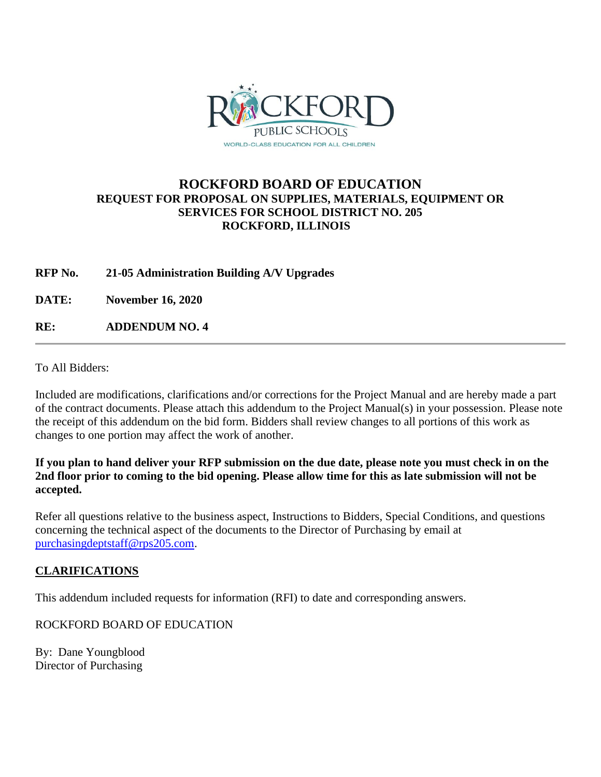

## **ROCKFORD BOARD OF EDUCATION REQUEST FOR PROPOSAL ON SUPPLIES, MATERIALS, EQUIPMENT OR SERVICES FOR SCHOOL DISTRICT NO. 205 ROCKFORD, ILLINOIS**

**RFP No. 21-05 Administration Building A/V Upgrades**

**DATE: November 16, 2020**

**RE: ADDENDUM NO. 4**

To All Bidders:

Included are modifications, clarifications and/or corrections for the Project Manual and are hereby made a part of the contract documents. Please attach this addendum to the Project Manual(s) in your possession. Please note the receipt of this addendum on the bid form. Bidders shall review changes to all portions of this work as changes to one portion may affect the work of another.

**If you plan to hand deliver your RFP submission on the due date, please note you must check in on the 2nd floor prior to coming to the bid opening. Please allow time for this as late submission will not be accepted.**

Refer all questions relative to the business aspect, Instructions to Bidders, Special Conditions, and questions concerning the technical aspect of the documents to the Director of Purchasing by email at [purchasingdeptstaff@rps205.com.](mailto:purchasingdeptstaff@rps205.com)

## **CLARIFICATIONS**

This addendum included requests for information (RFI) to date and corresponding answers.

ROCKFORD BOARD OF EDUCATION

By: Dane Youngblood Director of Purchasing